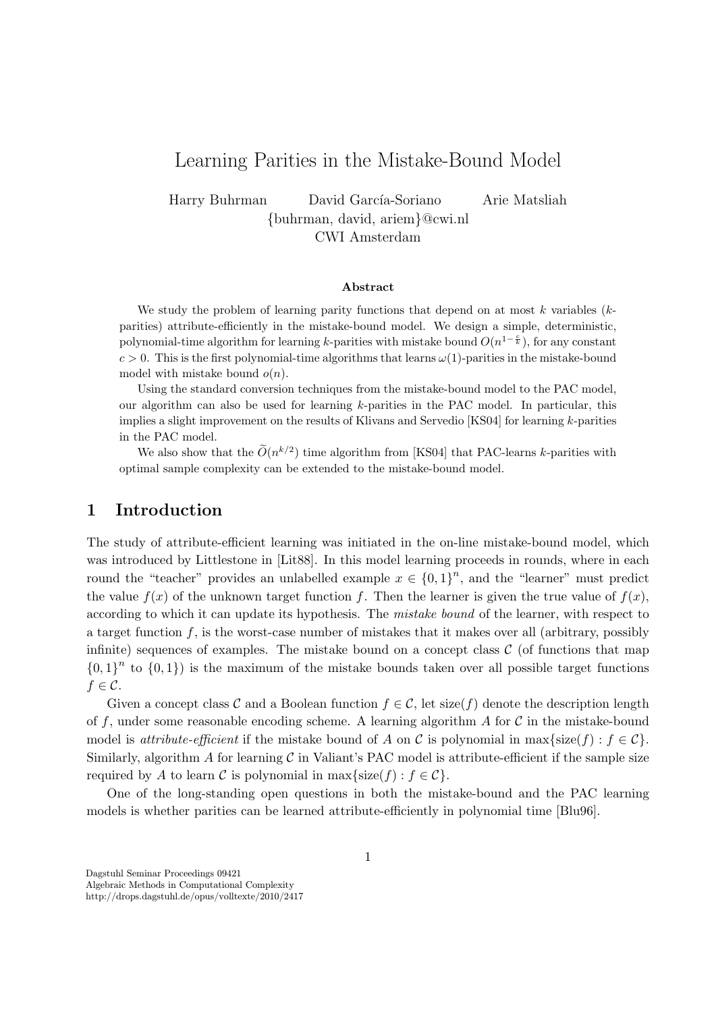# Learning Parities in the Mistake-Bound Model

Harry Buhrman David García-Soriano Arie Matsliah {buhrman, david, ariem}@cwi.nl CWI Amsterdam

#### Abstract

We study the problem of learning parity functions that depend on at most  $k$  variables  $(k$ parities) attribute-efficiently in the mistake-bound model. We design a simple, deterministic, polynomial-time algorithm for learning k-parities with mistake bound  $O(n^{1-\frac{c}{k}})$ , for any constant  $c > 0$ . This is the first polynomial-time algorithms that learns  $\omega(1)$ -parities in the mistake-bound model with mistake bound  $o(n)$ .

Using the standard conversion techniques from the mistake-bound model to the PAC model, our algorithm can also be used for learning k-parities in the PAC model. In particular, this implies a slight improvement on the results of Klivans and Servedio [KS04] for learning k-parities in the PAC model.

We also show that the  $\tilde{O}(n^{k/2})$  time algorithm from [KS04] that PAC-learns k-parities with optimal sample complexity can be extended to the mistake-bound model.

### 1 Introduction

The study of attribute-efficient learning was initiated in the on-line mistake-bound model, which was introduced by Littlestone in [Lit88]. In this model learning proceeds in rounds, where in each round the "teacher" provides an unlabelled example  $x \in \{0,1\}^n$ , and the "learner" must predict the value  $f(x)$  of the unknown target function f. Then the learner is given the true value of  $f(x)$ , according to which it can update its hypothesis. The mistake bound of the learner, with respect to a target function  $f$ , is the worst-case number of mistakes that it makes over all (arbitrary, possibly infinite) sequences of examples. The mistake bound on a concept class  $\mathcal C$  (of functions that map  ${0,1}^n$  to  ${0,1}$  is the maximum of the mistake bounds taken over all possible target functions  $f \in \mathcal{C}$ .

Given a concept class C and a Boolean function  $f \in \mathcal{C}$ , let size(f) denote the description length of f, under some reasonable encoding scheme. A learning algorithm  $A$  for  $C$  in the mistake-bound model is *attribute-efficient* if the mistake bound of A on C is polynomial in max{size(f) :  $f \in C$ }. Similarly, algorithm  $A$  for learning  $C$  in Valiant's PAC model is attribute-efficient if the sample size required by A to learn C is polynomial in max{size(f) :  $f \in C$ .

One of the long-standing open questions in both the mistake-bound and the PAC learning models is whether parities can be learned attribute-efficiently in polynomial time [Blu96].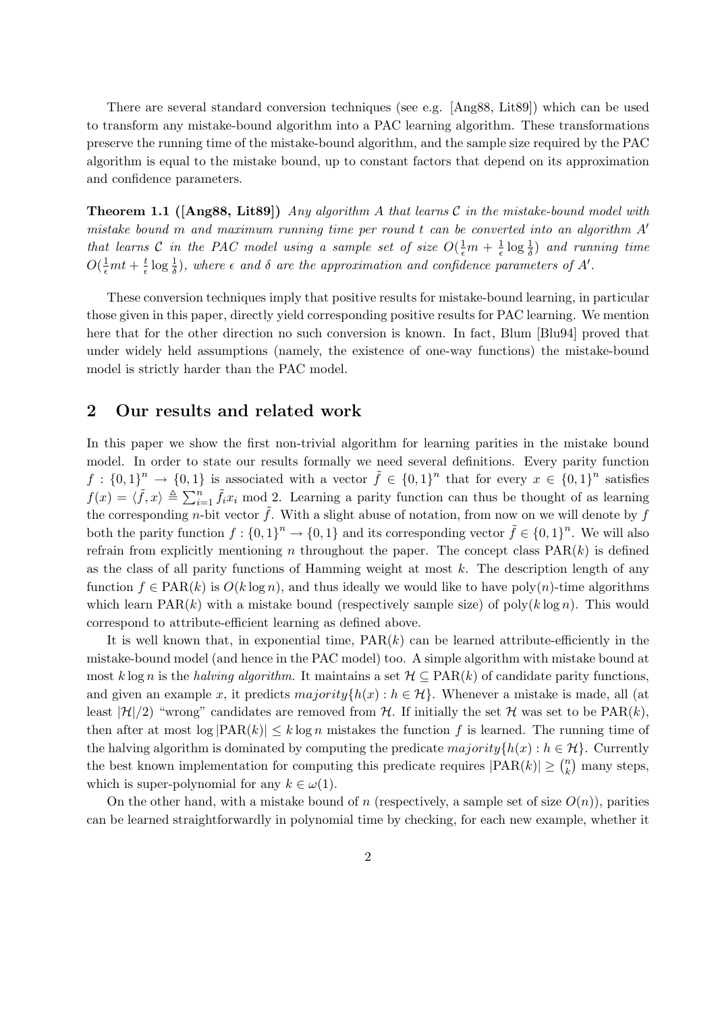There are several standard conversion techniques (see e.g. [Ang88, Lit89]) which can be used to transform any mistake-bound algorithm into a PAC learning algorithm. These transformations preserve the running time of the mistake-bound algorithm, and the sample size required by the PAC algorithm is equal to the mistake bound, up to constant factors that depend on its approximation and confidence parameters.

**Theorem 1.1** ( $[Ang88, Lit89]$ ) Any algorithm A that learns C in the mistake-bound model with mistake bound  $m$  and maximum running time per round  $t$  can be converted into an algorithm  $A'$ that learns C in the PAC model using a sample set of size  $O(\frac{1}{\epsilon}m + \frac{1}{\epsilon})$  $\frac{1}{\epsilon} \log \frac{1}{\delta}$  and running time  $O(\frac{1}{\epsilon}mt+\frac{t}{\epsilon}$  $\frac{t}{\epsilon} \log \frac{1}{\delta}$ , where  $\epsilon$  and  $\delta$  are the approximation and confidence parameters of A'.

These conversion techniques imply that positive results for mistake-bound learning, in particular those given in this paper, directly yield corresponding positive results for PAC learning. We mention here that for the other direction no such conversion is known. In fact, Blum [Blu94] proved that under widely held assumptions (namely, the existence of one-way functions) the mistake-bound model is strictly harder than the PAC model.

## 2 Our results and related work

In this paper we show the first non-trivial algorithm for learning parities in the mistake bound model. In order to state our results formally we need several definitions. Every parity function  $f: \{0,1\}^n \to \{0,1\}$  is associated with a vector  $\tilde{f} \in \{0,1\}^n$  that for every  $x \in \{0,1\}^n$  satisfies  $f(x) = \langle \tilde{f}, x \rangle \triangleq \sum_{i=1}^n \tilde{f}_i x_i \mod 2$ . Learning a parity function can thus be thought of as learning the corresponding *n*-bit vector  $\tilde{f}$ . With a slight abuse of notation, from now on we will denote by f both the parity function  $f: \{0,1\}^n \to \{0,1\}$  and its corresponding vector  $\tilde{f} \in \{0,1\}^n$ . We will also refrain from explicitly mentioning n throughout the paper. The concept class  $PAR(k)$  is defined as the class of all parity functions of Hamming weight at most  $k$ . The description length of any function  $f \in \text{PAR}(k)$  is  $O(k \log n)$ , and thus ideally we would like to have poly $(n)$ -time algorithms which learn  $PAR(k)$  with a mistake bound (respectively sample size) of poly $(k \log n)$ . This would correspond to attribute-efficient learning as defined above.

It is well known that, in exponential time,  $PAR(k)$  can be learned attribute-efficiently in the mistake-bound model (and hence in the PAC model) too. A simple algorithm with mistake bound at most k log n is the halving algorithm. It maintains a set  $\mathcal{H} \subseteq \text{PAR}(k)$  of candidate parity functions, and given an example x, it predicts  $majority\{h(x) : h \in \mathcal{H}\}\$ . Whenever a mistake is made, all (at least  $|\mathcal{H}|/2$  "wrong" candidates are removed from H. If initially the set H was set to be  $\text{PAR}(k)$ , then after at most  $\log |PAR(k)| \leq k \log n$  mistakes the function f is learned. The running time of the halving algorithm is dominated by computing the predicate  $majority{h(x) : h \in \mathcal{H}}$ . Currently the best known implementation for computing this predicate requires  $|PAR(k)| \geq {n \choose k}$  $\binom{n}{k}$  many steps, which is super-polynomial for any  $k \in \omega(1)$ .

On the other hand, with a mistake bound of n (respectively, a sample set of size  $O(n)$ ), parities can be learned straightforwardly in polynomial time by checking, for each new example, whether it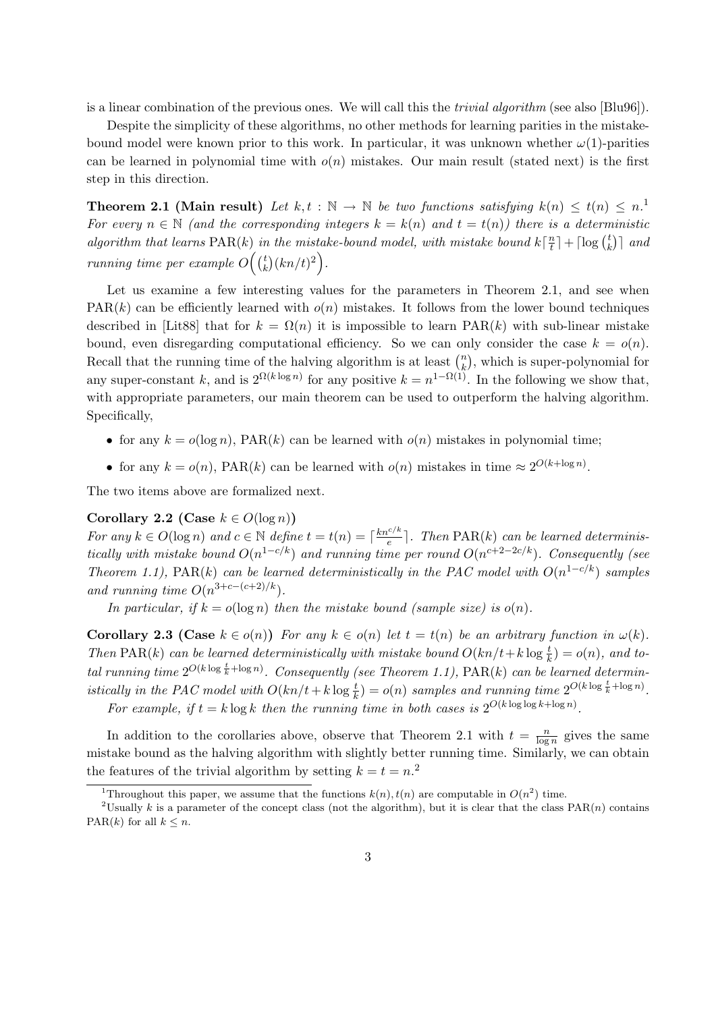is a linear combination of the previous ones. We will call this the trivial algorithm (see also [Blu96]).

Despite the simplicity of these algorithms, no other methods for learning parities in the mistakebound model were known prior to this work. In particular, it was unknown whether  $\omega(1)$ -parities can be learned in polynomial time with  $o(n)$  mistakes. Our main result (stated next) is the first step in this direction.

**Theorem 2.1 (Main result)** Let  $k, t : \mathbb{N} \to \mathbb{N}$  be two functions satisfying  $k(n) \leq t(n) \leq n$ . For every  $n \in \mathbb{N}$  (and the corresponding integers  $k = k(n)$  and  $t = t(n)$ ) there is a deterministic algorithm that learns PAR(k) in the mistake-bound model, with mistake bound  $k\left[\frac{n}{t}\right]$  $\left\lfloor \frac{n}{t} \right\rfloor + \lceil \log \left( \frac{t}{k} \right) \rceil$  $\binom{t}{k}$  and running time per example  $O((\frac{t}{k}))$  $\binom{t}{k} (kn/t)^2$ .

Let us examine a few interesting values for the parameters in Theorem 2.1, and see when  $PAR(k)$  can be efficiently learned with  $o(n)$  mistakes. It follows from the lower bound techniques described in [Lit88] that for  $k = \Omega(n)$  it is impossible to learn PAR(k) with sub-linear mistake bound, even disregarding computational efficiency. So we can only consider the case  $k = o(n)$ . Recall that the running time of the halving algorithm is at least  $\binom{n}{k}$  $\binom{n}{k}$ , which is super-polynomial for any super-constant k, and is  $2^{\Omega(k \log n)}$  for any positive  $k = n^{1-\Omega(1)}$ . In the following we show that, with appropriate parameters, our main theorem can be used to outperform the halving algorithm. Specifically,

- for any  $k = o(\log n)$ , PAR $(k)$  can be learned with  $o(n)$  mistakes in polynomial time;
- for any  $k = o(n)$ , PAR(k) can be learned with  $o(n)$  mistakes in time  $\approx 2^{O(k + \log n)}$ .

The two items above are formalized next.

### Corollary 2.2 (Case  $k \in O(\log n)$ )

For any  $k \in O(\log n)$  and  $c \in \mathbb{N}$  define  $t = t(n) = \lceil \frac{kn^{c/k}}{e} \rceil$  $\frac{e^{i\pi k}}{e}$ . Then PAR(k) can be learned deterministically with mistake bound  $O(n^{1-c/k})$  and running time per round  $O(n^{c+2-2c/k})$ . Consequently (see Theorem 1.1), PAR(k) can be learned deterministically in the PAC model with  $O(n^{1-c/k})$  samples and running time  $O(n^{3+c-(c+2)/k})$ .

In particular, if  $k = o(\log n)$  then the mistake bound (sample size) is  $o(n)$ .

**Corollary 2.3 (Case**  $k \in o(n)$ ) For any  $k \in o(n)$  let  $t = t(n)$  be an arbitrary function in  $\omega(k)$ . Then PAR(k) can be learned deterministically with mistake bound  $O(kn/t + k \log \frac{t}{k}) = o(n)$ , and total running time  $2^{O(k \log \frac{t}{k} + \log n)}$ . Consequently (see Theorem 1.1), PAR(k) can be learned deterministically in the PAC model with  $O(kn/t + k \log \frac{t}{k}) = o(n)$  samples and running time  $2^{O(k \log \frac{t}{k} + \log n)}$ . For example, if  $t = k \log k$  then the running time in both cases is  $2^{O(k \log \log k + \log n)}$ .

In addition to the corollaries above, observe that Theorem 2.1 with  $t = \frac{n}{\log n}$  $\frac{n}{\log n}$  gives the same mistake bound as the halving algorithm with slightly better running time. Similarly, we can obtain the features of the trivial algorithm by setting  $k = t = n<sup>2</sup>$ .

<sup>&</sup>lt;sup>1</sup>Throughout this paper, we assume that the functions  $k(n)$ ,  $t(n)$  are computable in  $O(n^2)$  time.

<sup>&</sup>lt;sup>2</sup>Usually k is a parameter of the concept class (not the algorithm), but it is clear that the class  $PAR(n)$  contains PAR(k) for all  $k \leq n$ .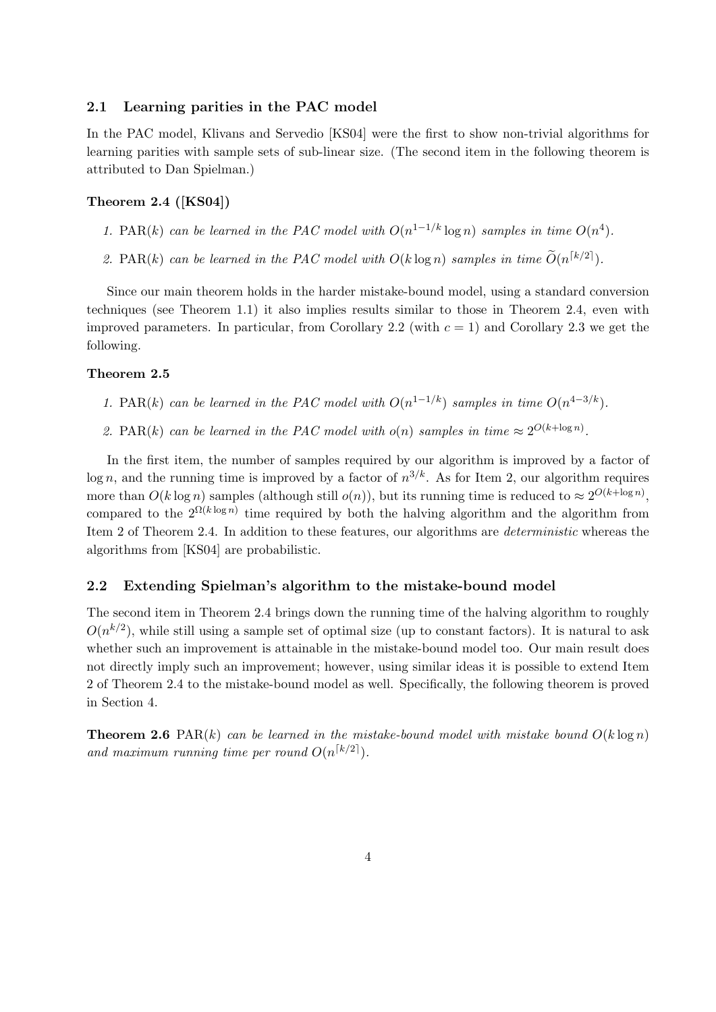### 2.1 Learning parities in the PAC model

In the PAC model, Klivans and Servedio [KS04] were the first to show non-trivial algorithms for learning parities with sample sets of sub-linear size. (The second item in the following theorem is attributed to Dan Spielman.)

### Theorem 2.4 ([KS04])

- 1. PAR(k) can be learned in the PAC model with  $O(n^{1-1/k} \log n)$  samples in time  $O(n^4)$ .
- 2. PAR(k) can be learned in the PAC model with  $O(k \log n)$  samples in time  $\widetilde{O}(n^{\lceil k/2 \rceil})$ .

Since our main theorem holds in the harder mistake-bound model, using a standard conversion techniques (see Theorem 1.1) it also implies results similar to those in Theorem 2.4, even with improved parameters. In particular, from Corollary 2.2 (with  $c = 1$ ) and Corollary 2.3 we get the following.

#### Theorem 2.5

- 1. PAR(k) can be learned in the PAC model with  $O(n^{1-1/k})$  samples in time  $O(n^{4-3/k})$ .
- 2. PAR(k) can be learned in the PAC model with  $o(n)$  samples in time  $\approx 2^{O(k + \log n)}$ .

In the first item, the number of samples required by our algorithm is improved by a factor of  $\log n$ , and the running time is improved by a factor of  $n^{3/k}$ . As for Item 2, our algorithm requires more than  $O(k \log n)$  samples (although still  $o(n)$ ), but its running time is reduced to  $\approx 2^{O(k + \log n)}$ , compared to the  $2^{\Omega(k \log n)}$  time required by both the halving algorithm and the algorithm from Item 2 of Theorem 2.4. In addition to these features, our algorithms are deterministic whereas the algorithms from [KS04] are probabilistic.

### 2.2 Extending Spielman's algorithm to the mistake-bound model

The second item in Theorem 2.4 brings down the running time of the halving algorithm to roughly  $O(n^{k/2})$ , while still using a sample set of optimal size (up to constant factors). It is natural to ask whether such an improvement is attainable in the mistake-bound model too. Our main result does not directly imply such an improvement; however, using similar ideas it is possible to extend Item 2 of Theorem 2.4 to the mistake-bound model as well. Specifically, the following theorem is proved in Section 4.

**Theorem 2.6** PAR(k) can be learned in the mistake-bound model with mistake bound  $O(k \log n)$ and maximum running time per round  $O(n^{\lceil k/2 \rceil})$ .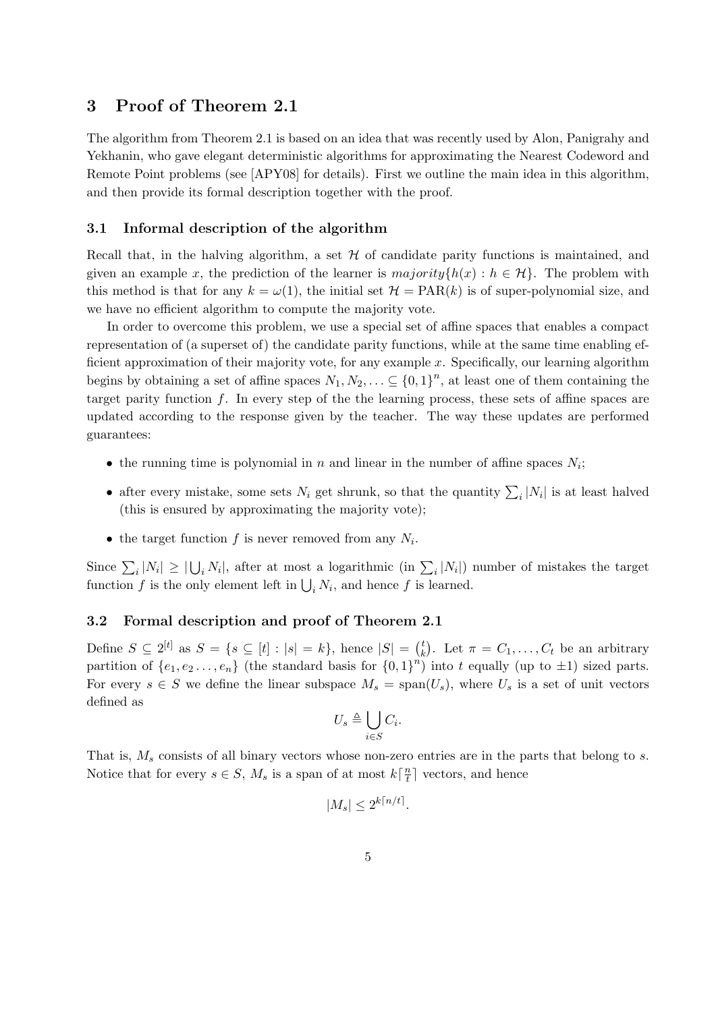### 3 Proof of Theorem 2.1

The algorithm from Theorem 2.1 is based on an idea that was recently used by Alon, Panigrahy and Yekhanin, who gave elegant deterministic algorithms for approximating the Nearest Codeword and Remote Point problems (see [APY08] for details). First we outline the main idea in this algorithm, and then provide its formal description together with the proof.

### 3.1 Informal description of the algorithm

Recall that, in the halving algorithm, a set  $H$  of candidate parity functions is maintained, and given an example x, the prediction of the learner is  $majority\{h(x) : h \in \mathcal{H}\}\)$ . The problem with this method is that for any  $k = \omega(1)$ , the initial set  $\mathcal{H} = \text{PAR}(k)$  is of super-polynomial size, and we have no efficient algorithm to compute the majority vote.

In order to overcome this problem, we use a special set of affine spaces that enables a compact representation of (a superset of) the candidate parity functions, while at the same time enabling efficient approximation of their majority vote, for any example  $x$ . Specifically, our learning algorithm begins by obtaining a set of affine spaces  $N_1, N_2, \ldots \subseteq \{0,1\}^n$ , at least one of them containing the target parity function  $f$ . In every step of the the learning process, these sets of affine spaces are updated according to the response given by the teacher. The way these updates are performed guarantees:

- the running time is polynomial in n and linear in the number of affine spaces  $N_i$ ;
- after every mistake, some sets  $N_i$  get shrunk, so that the quantity  $\sum_i |N_i|$  is at least halved (this is ensured by approximating the majority vote);
- the target function  $f$  is never removed from any  $N_i$ .

Since  $\sum_i |N_i| \geq |\bigcup_i N_i|$ , after at most a logarithmic (in  $\sum_i |N_i|$ ) number of mistakes the target function f is the only element left in  $\bigcup_i N_i$ , and hence f is learned.

### 3.2 Formal description and proof of Theorem 2.1

Define  $S \subseteq 2^{[t]}$  as  $S = \{s \subseteq [t] : |s| = k\}$ , hence  $|S| = {t \choose k}$  $k \choose k$ . Let  $\pi = C_1, \ldots, C_t$  be an arbitrary partition of  $\{e_1, e_2 \ldots, e_n\}$  (the standard basis for  $\{0, 1\}^n$ ) into t equally (up to  $\pm 1$ ) sized parts. For every  $s \in S$  we define the linear subspace  $M_s = \text{span}(U_s)$ , where  $U_s$  is a set of unit vectors defined as

$$
U_s \triangleq \bigcup_{i \in S} C_i.
$$

That is,  $M_s$  consists of all binary vectors whose non-zero entries are in the parts that belong to s. Notice that for every  $s \in S$ ,  $M_s$  is a span of at most  $k\left\lceil \frac{n}{t}\right\rceil$  $\frac{n}{t}$  vectors, and hence

$$
|M_s| \le 2^{k\lceil n/t \rceil}.
$$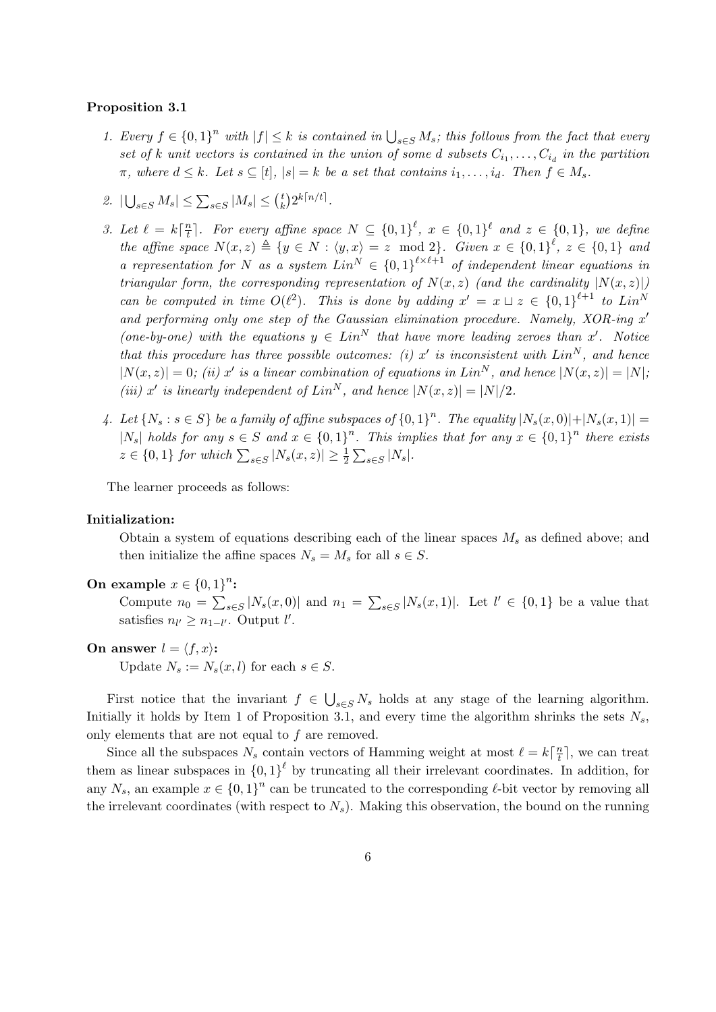#### Proposition 3.1

- 1. Every  $f \in \{0,1\}^n$  with  $|f| \leq k$  is contained in  $\bigcup_{s \in S} M_s$ ; this follows from the fact that every set of k unit vectors is contained in the union of some d subsets  $C_{i_1}, \ldots, C_{i_d}$  in the partition  $\pi$ , where  $d \leq k$ . Let  $s \subseteq [t]$ ,  $|s| = k$  be a set that contains  $i_1, \ldots, i_d$ . Then  $f \in M_s$ .
- 2.  $|\bigcup_{s\in S} M_s| \leq \sum_{s\in S} |M_s| \leq {t \choose k}$  $\binom{t}{k} 2^{k\lceil n/t \rceil}.$
- 3. Let  $\ell = k \lceil \frac{n}{t} \rceil$  $\frac{n}{t}$ . For every affine space  $N \subseteq \{0,1\}^{\ell}$ ,  $x \in \{0,1\}^{\ell}$  and  $z \in \{0,1\}$ , we define the affine space  $N(x, z) \triangleq \{y \in N : \langle y, x \rangle = z \mod 2\}$ . Given  $x \in \{0, 1\}^{\ell}, z \in \{0, 1\}$  and a representation for N as a system  $Lin^N \in \{0,1\}^{\ell \times \ell+1}$  of independent linear equations in triangular form, the corresponding representation of  $N(x, z)$  (and the cardinality  $|N(x, z)|$ ) can be computed in time  $O(\ell^2)$ . This is done by adding  $x' = x \sqcup z \in \{0,1\}^{\ell+1}$  to  $Lin^N$ and performing only one step of the Gaussian elimination procedure. Namely,  $XOR$ -ing  $x'$ (one-by-one) with the equations  $y \in Lin^N$  that have more leading zeroes than x'. Notice that this procedure has three possible outcomes: (i) x' is inconsistent with  $Lin<sup>N</sup>$ , and hence  $|N(x,z)|=0$ ; (ii) x' is a linear combination of equations in Lin<sup>N</sup>, and hence  $|N(x,z)|=|N|$ ; (iii) x' is linearly independent of  $Lin^N$ , and hence  $|N(x, z)| = |N|/2$ .
- 4. Let  $\{N_s : s \in S\}$  be a family of affine subspaces of  $\{0,1\}^n$ . The equality  $|N_s(x,0)|+|N_s(x,1)| =$ | $N_s$ | holds for any  $s \in S$  and  $x \in \{0,1\}^n$ . This implies that for any  $x \in \{0,1\}^n$  there exists  $z \in \{0,1\}$  for which  $\sum_{s \in S} |N_s(x,z)| \geq \frac{1}{2} \sum_{s \in S} |N_s|$ .

The learner proceeds as follows:

#### Initialization:

Obtain a system of equations describing each of the linear spaces  $M_s$  as defined above; and then initialize the affine spaces  $N_s = M_s$  for all  $s \in S$ .

On example  $x \in \{0,1\}^n$ :

Compute  $n_0 = \sum_{s \in S} |N_s(x, 0)|$  and  $n_1 = \sum_{s \in S} |N_s(x, 1)|$ . Let  $l' \in \{0, 1\}$  be a value that satisfies  $n_{l'} \geq n_{1-l'}$ . Output  $l'$ .

On answer  $l = \langle f, x \rangle$ :

Update  $N_s := N_s(x, l)$  for each  $s \in S$ .

First notice that the invariant  $f \in \bigcup_{s \in S} N_s$  holds at any stage of the learning algorithm. Initially it holds by Item 1 of Proposition 3.1, and every time the algorithm shrinks the sets  $N_s$ , only elements that are not equal to  $f$  are removed.

Since all the subspaces  $N_s$  contain vectors of Hamming weight at most  $\ell = k\lceil \frac{n}{t} \rceil$  $\frac{n}{t}$ , we can treat them as linear subspaces in  ${0,1}^{\ell}$  by truncating all their irrelevant coordinates. In addition, for any  $N_s$ , an example  $x \in \{0,1\}^n$  can be truncated to the corresponding  $\ell$ -bit vector by removing all the irrelevant coordinates (with respect to  $N_s$ ). Making this observation, the bound on the running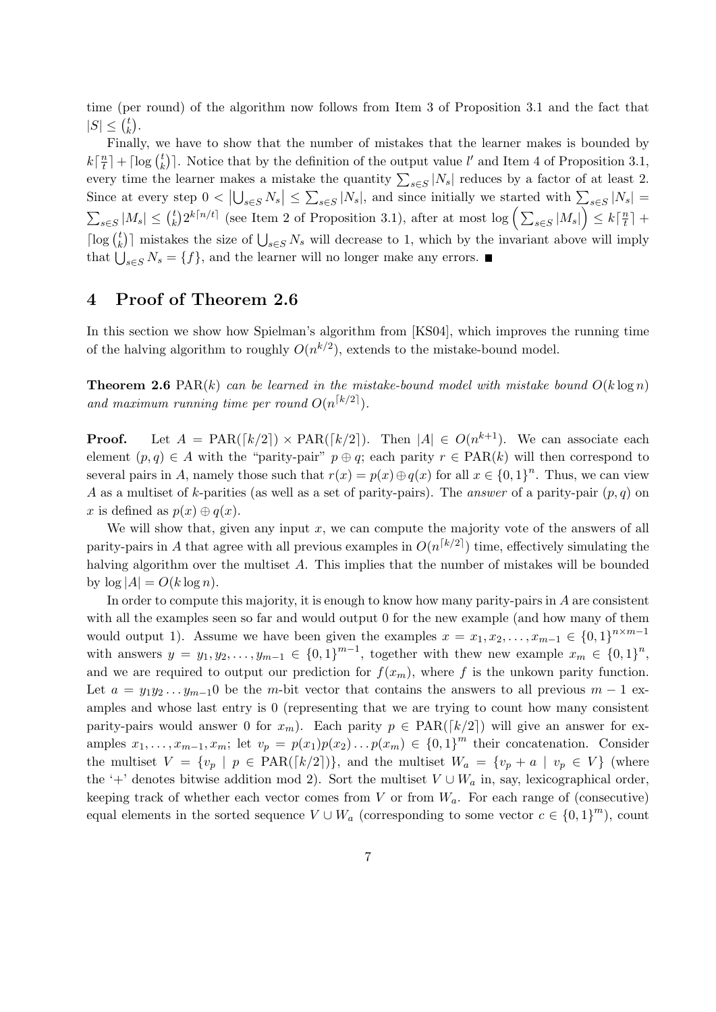time (per round) of the algorithm now follows from Item 3 of Proposition 3.1 and the fact that  $|S| \leq {t \choose k}$  $\binom{t}{k}$ .

Finally, we have to show that the number of mistakes that the learner makes is bounded by  $k\left\lceil\frac{n}{t}\right\rceil$  $\left\lfloor \frac{n}{t} \right\rceil + \lceil \log \left( \frac{t}{k} \right) \rceil$  $\binom{t}{k}$ . Notice that by the definition of the output value l' and Item 4 of Proposition 3.1, every time the learner makes a mistake the quantity  $\sum_{s\in S} |N_s|$  reduces by a factor of at least 2. Since at every step  $0 < |\bigcup_{s \in S} N_s| \le \sum_{s \in S} |N_s|$ , and since initially we started with  $\sum_{s \in S} |N_s|$  $\sum_{s\in S}|M_s|\leq {t\choose k}$  $\binom{t}{k} 2^{k\lceil n/t \rceil}$  (see Item 2 of Proposition 3.1), after at most  $\log \left( \sum_{s \in S} |M_s| \right) \leq k \lceil \frac{n}{t} \rceil$  $\frac{n}{t}$  +  $\lceil \log \left( \frac{t}{k} \right) \rceil$  $\binom{t}{k}$  mistakes the size of  $\bigcup_{s\in S} N_s$  will decrease to 1, which by the invariant above will imply that  $\bigcup_{s\in S} N_s = \{f\}$ , and the learner will no longer make any errors.

### 4 Proof of Theorem 2.6

In this section we show how Spielman's algorithm from [KS04], which improves the running time of the halving algorithm to roughly  $O(n^{k/2})$ , extends to the mistake-bound model.

**Theorem 2.6** PAR(k) can be learned in the mistake-bound model with mistake bound  $O(k \log n)$ and maximum running time per round  $O(n^{\lceil k/2 \rceil})$ .

**Proof.** Let  $A = PAR([k/2]) \times PAR([k/2])$ . Then  $|A| \in O(n^{k+1})$ . We can associate each element  $(p, q) \in A$  with the "parity-pair"  $p \oplus q$ ; each parity  $r \in \text{PAR}(k)$  will then correspond to several pairs in A, namely those such that  $r(x) = p(x) \oplus q(x)$  for all  $x \in \{0,1\}^n$ . Thus, we can view A as a multiset of k-parities (as well as a set of parity-pairs). The answer of a parity-pair  $(p, q)$  on x is defined as  $p(x) \oplus q(x)$ .

We will show that, given any input  $x$ , we can compute the majority vote of the answers of all parity-pairs in A that agree with all previous examples in  $O(n^{\lceil k/2 \rceil})$  time, effectively simulating the halving algorithm over the multiset A. This implies that the number of mistakes will be bounded by  $\log |A| = O(k \log n)$ .

In order to compute this majority, it is enough to know how many parity-pairs in  $A$  are consistent with all the examples seen so far and would output 0 for the new example (and how many of them would output 1). Assume we have been given the examples  $x = x_1, x_2, \ldots, x_{m-1} \in \{0,1\}^{n \times m-1}$ with answers  $y = y_1, y_2, \ldots, y_{m-1} \in \{0,1\}^{m-1}$ , together with thew new example  $x_m \in \{0,1\}^n$ , and we are required to output our prediction for  $f(x_m)$ , where f is the unkown parity function. Let  $a = y_1y_2...y_{m-1}$  be the m-bit vector that contains the answers to all previous  $m-1$  examples and whose last entry is 0 (representing that we are trying to count how many consistent parity-pairs would answer 0 for  $x_m$ ). Each parity  $p \in \text{PAR}([k/2])$  will give an answer for examples  $x_1, \ldots, x_{m-1}, x_m$ ; let  $v_p = p(x_1)p(x_2)\ldots p(x_m) \in \{0,1\}^m$  their concatenation. Consider the multiset  $V = \{v_p | p \in \text{PAR}([k/2])\}$ , and the multiset  $W_a = \{v_p + a | v_p \in V\}$  (where the '+' denotes bitwise addition mod 2). Sort the multiset  $V \cup W_a$  in, say, lexicographical order, keeping track of whether each vector comes from V or from  $W_a$ . For each range of (consecutive) equal elements in the sorted sequence  $V \cup W_a$  (corresponding to some vector  $c \in \{0,1\}^m$ ), count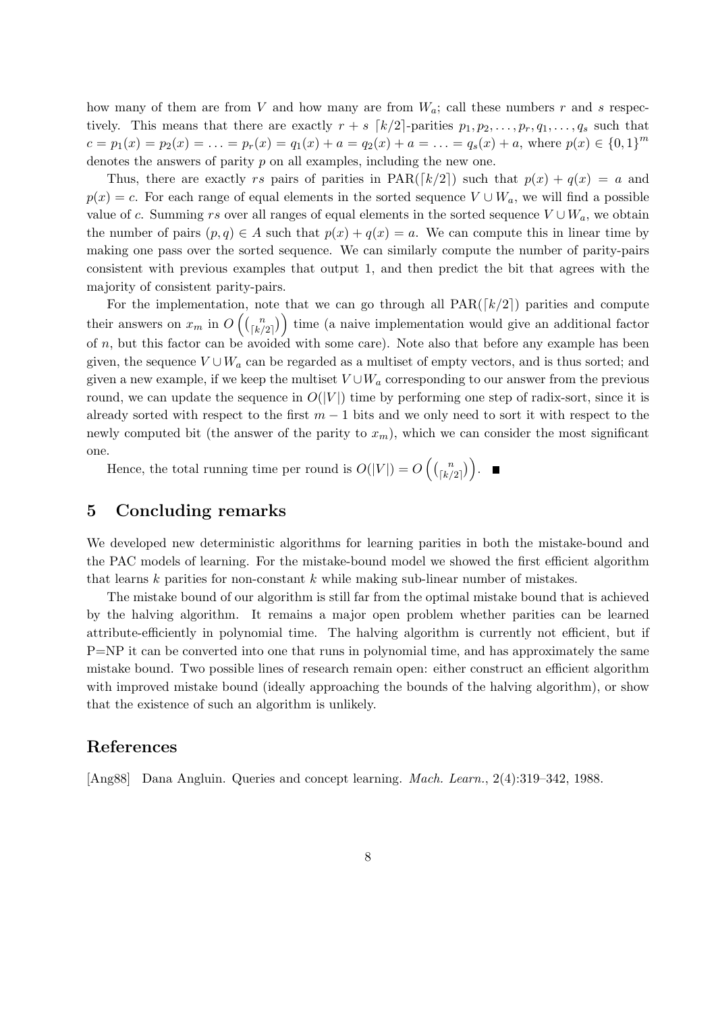how many of them are from V and how many are from  $W_a$ ; call these numbers r and s respectively. This means that there are exactly  $r + s$   $\lceil k/2 \rceil$ -parities  $p_1, p_2, \ldots, p_r, q_1, \ldots, q_s$  such that  $c = p_1(x) = p_2(x) = \ldots = p_r(x) = q_1(x) + a = q_2(x) + a = \ldots = q_s(x) + a$ , where  $p(x) \in \{0, 1\}^m$ denotes the answers of parity p on all examples, including the new one.

Thus, there are exactly rs pairs of parities in  $\text{PAR}([k/2])$  such that  $p(x) + q(x) = a$  and  $p(x) = c$ . For each range of equal elements in the sorted sequence  $V \cup W_a$ , we will find a possible value of c. Summing rs over all ranges of equal elements in the sorted sequence  $V \cup W_a$ , we obtain the number of pairs  $(p, q) \in A$  such that  $p(x) + q(x) = a$ . We can compute this in linear time by making one pass over the sorted sequence. We can similarly compute the number of parity-pairs consistent with previous examples that output 1, and then predict the bit that agrees with the majority of consistent parity-pairs.

For the implementation, note that we can go through all  $PAR([k/2])$  parities and compute their answers on  $x_m$  in  $O\left(\binom{n}{\lfloor k \rfloor}\right)$  $\binom{n}{\lfloor k/2 \rfloor}$  time (a naive implementation would give an additional factor of  $n$ , but this factor can be avoided with some care). Note also that before any example has been given, the sequence  $V \cup W_a$  can be regarded as a multiset of empty vectors, and is thus sorted; and given a new example, if we keep the multiset  $V \cup W_a$  corresponding to our answer from the previous round, we can update the sequence in  $O(|V|)$  time by performing one step of radix-sort, since it is already sorted with respect to the first  $m-1$  bits and we only need to sort it with respect to the newly computed bit (the answer of the parity to  $x_m$ ), which we can consider the most significant one.

Hence, the total running time per round is  $O(|V|) = O\left(\binom{n}{\lfloor k \rfloor}\right)$  $\binom{n}{\lfloor k/2 \rfloor}$ .

### 5 Concluding remarks

We developed new deterministic algorithms for learning parities in both the mistake-bound and the PAC models of learning. For the mistake-bound model we showed the first efficient algorithm that learns  $k$  parities for non-constant  $k$  while making sub-linear number of mistakes.

The mistake bound of our algorithm is still far from the optimal mistake bound that is achieved by the halving algorithm. It remains a major open problem whether parities can be learned attribute-efficiently in polynomial time. The halving algorithm is currently not efficient, but if P=NP it can be converted into one that runs in polynomial time, and has approximately the same mistake bound. Two possible lines of research remain open: either construct an efficient algorithm with improved mistake bound (ideally approaching the bounds of the halving algorithm), or show that the existence of such an algorithm is unlikely.

### References

[Ang88] Dana Angluin. Queries and concept learning. Mach. Learn., 2(4):319–342, 1988.